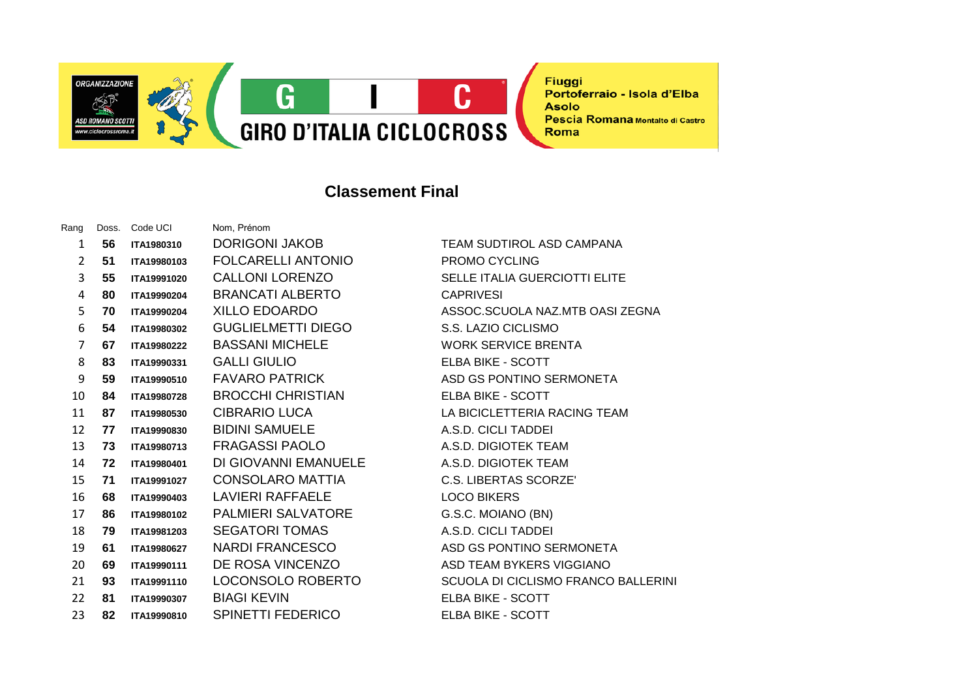

## **Classement Final**

| Rang | Doss. | Code UCI    | Nom, Prénom               |
|------|-------|-------------|---------------------------|
| 1    | 56    | ITA1980310  | DORIGONI JAKOB            |
| 2    | 51    | ITA19980103 | FOLCARELLI ANTONIO        |
| 3    | 55    | ITA19991020 | <b>CALLONI LORENZO</b>    |
| 4    | 80    | ITA19990204 | <b>BRANCATI ALBERTO</b>   |
| 5    | 70    | ITA19990204 | <b>XILLO EDOARDO</b>      |
| 6    | 54    | ITA19980302 | <b>GUGLIELMETTI DIEGO</b> |
| 7    | 67    | ITA19980222 | <b>BASSANI MICHELE</b>    |
| 8    | 83    | ITA19990331 | <b>GALLI GIULIO</b>       |
| 9    | 59    | ITA19990510 | <b>FAVARO PATRICK</b>     |
| 10   | 84    | ITA19980728 | <b>BROCCHI CHRISTIAN</b>  |
| 11   | 87    | ITA19980530 | <b>CIBRARIO LUCA</b>      |
| 12   | 77    | ITA19990830 | <b>BIDINI SAMUELE</b>     |
| 13   | 73    | ITA19980713 | <b>FRAGASSI PAOLO</b>     |
| 14   | 72    | ITA19980401 | DI GIOVANNI EMANUELE      |
| 15   | 71    | ITA19991027 | <b>CONSOLARO MATTIA</b>   |
| 16   | 68    | ITA19990403 | <b>LAVIERI RAFFAELE</b>   |
| 17   | 86    | ITA19980102 | <b>PALMIERI SALVATORE</b> |
| 18   | 79    | ITA19981203 | <b>SEGATORI TOMAS</b>     |
| 19   | 61    | ITA19980627 | NARDI FRANCESCO           |
| 20   | 69    | ITA19990111 | DE ROSA VINCENZO          |
| 21   | 93    | ITA19991110 | LOCONSOLO ROBERTO         |
| 22   | 81    | ITA19990307 | <b>BIAGI KEVIN</b>        |
| 23   | 82    | ITA19990810 | SPINETTI FEDERICO         |

**TEAM SUDTIROL ASD CAMPANA PROMO CYCLING SELLE ITALIA GUERCIOTTI ELITE**  $CAPRIVESI$ 5 **70 ITA19990204** XILLO EDOARDO ASSOC.SCUOLA NAZ.MTB OASI ZEGNA **S.S. LAZIO CICLISMO WORK SERVICE BRENTA ELBA BIKE - SCOTT ASD GS PONTINO SERMONETA ELBA BIKE - SCOTT LA BICICLETTERIA RACING TEAM** 12 **77 ITA19990830** BIDINI SAMUELE A.S.D. CICLI TADDEI 13 **73 ITA19980713** FRAGASSI PAOLO A.S.D. DIGIOTEK TEAM 14 **72 ITA19980401** DI GIOVANNI EMANUELE A.S.D. DIGIOTEK TEAM 15 **71 ITA19991027** CONSOLARO MATTIA C.S. LIBERTAS SCORZE' **LOCO BIKERS**  $G.S.C.$  MOIANO (BN) 18 **79 ITA19981203** SEGATORI TOMAS A.S.D. CICLI TADDEI **ASD GS PONTINO SERMONETA ASD TEAM BYKERS VIGGIANO SCUOLA DI CICLISMO FRANCO BALLERINI ELBA BIKE - SCOTT ELBA BIKE - SCOTT**